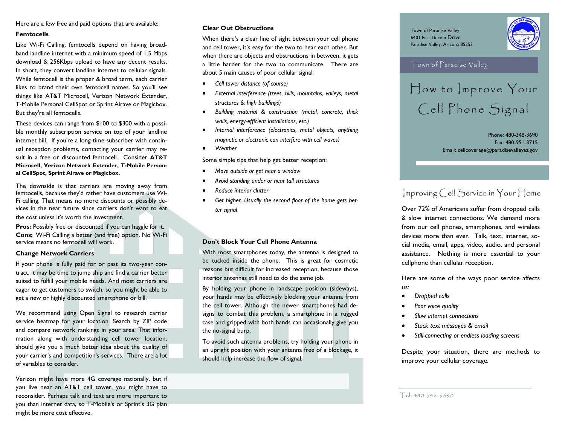Here are a few free and paid options that are available:

#### **Femtocells**

Like Wi-Fi Calling, femtocells depend on having broadband landline internet with a minimum speed of 1.5 Mbps download & 256Kbps upload to have any decent results. In short, they convert landline internet to cellular signals. While femtocell is the proper & broad term, each carrier likes to brand their own femtocell names. So you'll see things like AT&T Microcell, Verizon Network Extender, T-Mobile Personal CellSpot or Sprint Airave or Magicbox. But they're all femtocells.

These devices can range from \$100 to \$300 with a possible monthly subscription service on top of your landline internet bill. If you're a long-time subscriber with continual reception problems, contacting your carrier may result in a free or discounted femtocell. Consider **AT&T Microcell, Verizon Network Extender, T-Mobile Personal CellSpot, Sprint Airave or Magicbox.**

The downside is that carriers are moving away from femtocells, because they'd rather have customers use Wi-Fi calling. That means no more discounts or possibly devices in the near future since carriers don't want to eat the cost unless it's worth the investment.

**Pros:** Possibly free or discounted if you can haggle for it. **Cons:** Wi-Fi Calling a better (and free) option. No Wi-Fi service means no femtocell will work.

#### **Change Network Carriers**

If your phone is fully paid for or past its two-year contract, it may be time to jump ship and find a carrier better suited to fulfill your mobile needs. And most carriers are eager to get customers to switch, so you might be able to get a new or highly discounted smartphone or bill.

We recommend using Open Signal to research carrier service heatmap for your location. Search by ZIP code and compare network rankings in your area. That information along with understanding cell tower location, should give you a much better idea about the quality of your carrier's and competition's services. There are a lot of variables to consider.

Verizon might have more 4G coverage nationally, but if you live near an AT&T cell tower, you might have to reconsider. Perhaps talk and text are more important to you than internet data, so T-Mobile's or Sprint's 3G plan might be more cost effective.

#### **Clear Out Obstructions**

When there's a clear line of sight between your cell phone and cell tower, it's easy for the two to hear each other. But when there are objects and obstructions in between, it gets a little harder for the two to communicate. There are about 5 main causes of poor cellular signal:

- *Cell tower distance (of course)*
- *External interference (trees, hills, mountains, valleys, metal structures & high buildings)*
- *Building material & construction (metal, concrete, thick walls, energy-efficient installations, etc.)*
- *Internal interference (electronics, metal objects, anything magnetic or electronic can interfere with cell waves)*
- *Weather*

Some simple tips that help get better reception:

- *Move outside or get near a window*
- *Avoid standing under or near tall structures*
- *Reduce interior clutter*
- *Get higher. Usually the second floor of the home gets better signal*

#### **Don't Block Your Cell Phone Antenna**

With most smartphones today, the antenna is designed to be tucked inside the phone. This is great for cosmetic reasons but difficult for increased reception, because those interior antennas still need to do the same job.

By holding your phone in landscape position (sideways), your hands may be effectively blocking your antenna from the cell tower. Although the newer smartphones had designs to combat this problem, a smartphone in a rugged case and gripped with both hands can occasionally give you the no-signal burp.

To avoid such antenna problems, try holding your phone in an upright position with your antenna free of a blockage, it should help increase the flow of signal.

Town of Paradise Valley 6401 East Lincoln Drive Paradise Valley, Arizona 85253



### Town of Paradise Valley

How to Improve Your Cell Phone Signal

Phone: 480-348-3690 Fax: 480-951-3715 Email: cellcoverage@paradisevalleyaz.gov

## Improving Cell Service in Your Home

Over 72% of Americans suffer from dropped calls & slow internet connections. We demand more from our cell phones, smartphones, and wireless devices more than ever. Talk, text, internet, social media, email, apps, video, audio, and personal assistance. Nothing is more essential to your cellphone than cellular reception.

Here are some of the ways poor service affects us*:*

- *Dropped calls*
- *Poor voice quality*
- *Slow internet connections*
- *Stuck text messages & email*
- *Still-connecting or endless loading screens*

Despite your situation, there are methods to improve your cellular coverage.